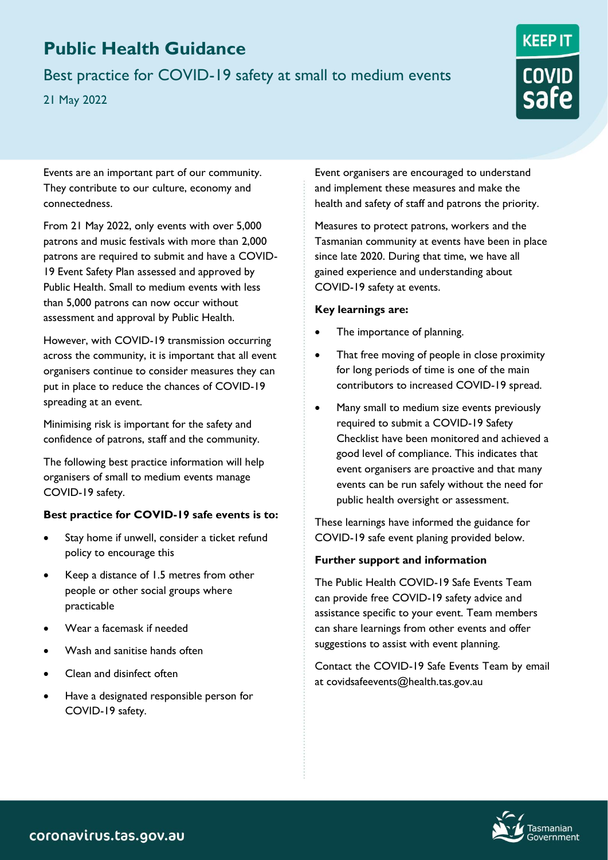# **Public Health Guidance**

Best practice for COVID-19 safety at small to medium events

21 May 2022



Events are an important part of our community. They contribute to our culture, economy and connectedness.

From 21 May 2022, only events with over 5,000 patrons and music festivals with more than 2,000 patrons are required to submit and have a COVID-19 Event Safety Plan assessed and approved by Public Health. Small to medium events with less than 5,000 patrons can now occur without assessment and approval by Public Health.

However, with COVID-19 transmission occurring across the community, it is important that all event organisers continue to consider measures they can put in place to reduce the chances of COVID-19 spreading at an event.

Minimising risk is important for the safety and confidence of patrons, staff and the community.

The following best practice information will help organisers of small to medium events manage COVID-19 safety.

## **Best practice for COVID-19 safe events is to:**

- Stay home if unwell, consider a ticket refund policy to encourage this
- Keep a distance of 1.5 metres from other people or other social groups where practicable
- Wear a facemask if needed
- Wash and sanitise hands often
- Clean and disinfect often
- Have a designated responsible person for COVID-19 safety.

Event organisers are encouraged to understand and implement these measures and make the health and safety of staff and patrons the priority.

Measures to protect patrons, workers and the Tasmanian community at events have been in place since late 2020. During that time, we have all gained experience and understanding about COVID-19 safety at events.

### **Key learnings are:**

- The importance of planning.
- That free moving of people in close proximity for long periods of time is one of the main contributors to increased COVID-19 spread.
- Many small to medium size events previously required to submit a COVID-19 Safety Checklist have been monitored and achieved a good level of compliance. This indicates that event organisers are proactive and that many events can be run safely without the need for public health oversight or assessment.

These learnings have informed the guidance for COVID-19 safe event planing provided below.

## **Further support and information**

The Public Health COVID-19 Safe Events Team can provide free COVID-19 safety advice and assistance specific to your event. Team members can share learnings from other events and offer suggestions to assist with event planning.

Contact the COVID-19 Safe Events Team by email at covidsafeevents@health.tas.gov.au

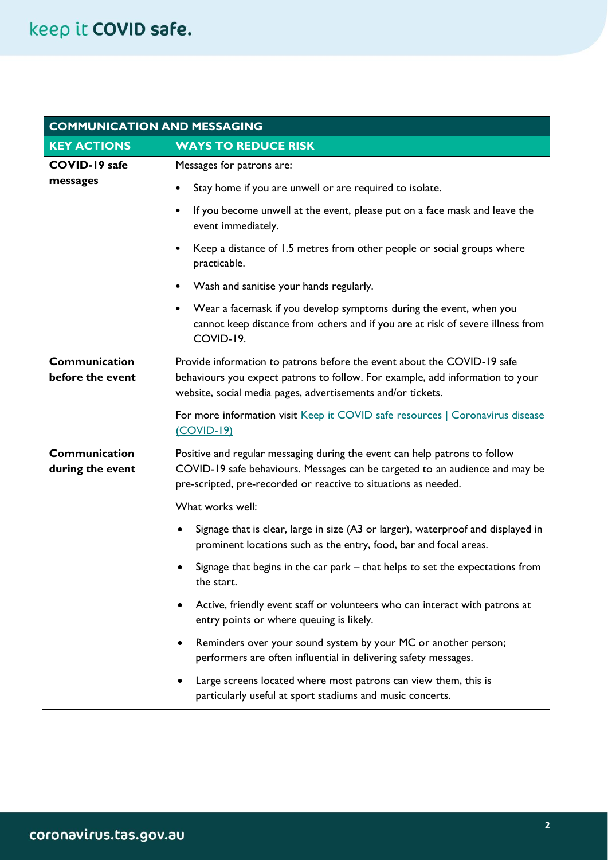| <b>COMMUNICATION AND MESSAGING</b> |                                                                                                                                                                                                                               |  |
|------------------------------------|-------------------------------------------------------------------------------------------------------------------------------------------------------------------------------------------------------------------------------|--|
| <b>KEY ACTIONS</b>                 | <b>WAYS TO REDUCE RISK</b>                                                                                                                                                                                                    |  |
| COVID-19 safe                      | Messages for patrons are:                                                                                                                                                                                                     |  |
| messages                           | Stay home if you are unwell or are required to isolate.<br>$\bullet$                                                                                                                                                          |  |
|                                    | If you become unwell at the event, please put on a face mask and leave the<br>$\bullet$<br>event immediately.                                                                                                                 |  |
|                                    | Keep a distance of 1.5 metres from other people or social groups where<br>practicable.                                                                                                                                        |  |
|                                    | Wash and sanitise your hands regularly.<br>$\bullet$                                                                                                                                                                          |  |
|                                    | Wear a facemask if you develop symptoms during the event, when you<br>$\bullet$<br>cannot keep distance from others and if you are at risk of severe illness from<br>COVID-19.                                                |  |
| Communication<br>before the event  | Provide information to patrons before the event about the COVID-19 safe<br>behaviours you expect patrons to follow. For example, add information to your<br>website, social media pages, advertisements and/or tickets.       |  |
|                                    | For more information visit Keep it COVID safe resources   Coronavirus disease<br>$(COVID-19)$                                                                                                                                 |  |
| Communication<br>during the event  | Positive and regular messaging during the event can help patrons to follow<br>COVID-19 safe behaviours. Messages can be targeted to an audience and may be<br>pre-scripted, pre-recorded or reactive to situations as needed. |  |
|                                    | What works well:                                                                                                                                                                                                              |  |
|                                    | Signage that is clear, large in size (A3 or larger), waterproof and displayed in<br>prominent locations such as the entry, food, bar and focal areas.                                                                         |  |
|                                    | Signage that begins in the car park - that helps to set the expectations from<br>the start.                                                                                                                                   |  |
|                                    | Active, friendly event staff or volunteers who can interact with patrons at<br>entry points or where queuing is likely.                                                                                                       |  |
|                                    | Reminders over your sound system by your MC or another person;<br>٠<br>performers are often influential in delivering safety messages.                                                                                        |  |
|                                    | Large screens located where most patrons can view them, this is<br>particularly useful at sport stadiums and music concerts.                                                                                                  |  |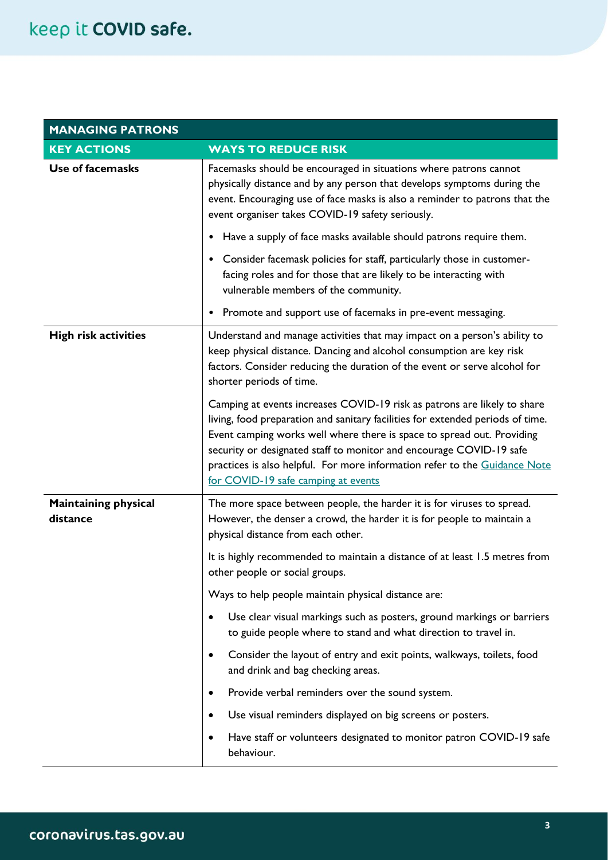| <b>MANAGING PATRONS</b>                 |                                                                                                                                                                                                                                                                                                                                                                                                                                  |
|-----------------------------------------|----------------------------------------------------------------------------------------------------------------------------------------------------------------------------------------------------------------------------------------------------------------------------------------------------------------------------------------------------------------------------------------------------------------------------------|
| <b>KEY ACTIONS</b>                      | <b>WAYS TO REDUCE RISK</b>                                                                                                                                                                                                                                                                                                                                                                                                       |
| <b>Use of facemasks</b>                 | Facemasks should be encouraged in situations where patrons cannot<br>physically distance and by any person that develops symptoms during the<br>event. Encouraging use of face masks is also a reminder to patrons that the<br>event organiser takes COVID-19 safety seriously.                                                                                                                                                  |
|                                         | Have a supply of face masks available should patrons require them.<br>$\bullet$                                                                                                                                                                                                                                                                                                                                                  |
|                                         | Consider facemask policies for staff, particularly those in customer-<br>$\bullet$<br>facing roles and for those that are likely to be interacting with<br>vulnerable members of the community.                                                                                                                                                                                                                                  |
|                                         | Promote and support use of facemaks in pre-event messaging.<br>$\bullet$                                                                                                                                                                                                                                                                                                                                                         |
| <b>High risk activities</b>             | Understand and manage activities that may impact on a person's ability to<br>keep physical distance. Dancing and alcohol consumption are key risk<br>factors. Consider reducing the duration of the event or serve alcohol for<br>shorter periods of time.                                                                                                                                                                       |
|                                         | Camping at events increases COVID-19 risk as patrons are likely to share<br>living, food preparation and sanitary facilities for extended periods of time.<br>Event camping works well where there is space to spread out. Providing<br>security or designated staff to monitor and encourage COVID-19 safe<br>practices is also helpful. For more information refer to the Guidance Note<br>for COVID-19 safe camping at events |
| <b>Maintaining physical</b><br>distance | The more space between people, the harder it is for viruses to spread.<br>However, the denser a crowd, the harder it is for people to maintain a<br>physical distance from each other.                                                                                                                                                                                                                                           |
|                                         | It is highly recommended to maintain a distance of at least 1.5 metres from<br>other people or social groups.                                                                                                                                                                                                                                                                                                                    |
|                                         | Ways to help people maintain physical distance are:                                                                                                                                                                                                                                                                                                                                                                              |
|                                         | Use clear visual markings such as posters, ground markings or barriers<br>$\bullet$<br>to guide people where to stand and what direction to travel in.                                                                                                                                                                                                                                                                           |
|                                         | Consider the layout of entry and exit points, walkways, toilets, food<br>$\bullet$<br>and drink and bag checking areas.                                                                                                                                                                                                                                                                                                          |
|                                         | Provide verbal reminders over the sound system.<br>$\bullet$                                                                                                                                                                                                                                                                                                                                                                     |
|                                         | Use visual reminders displayed on big screens or posters.<br>$\bullet$                                                                                                                                                                                                                                                                                                                                                           |
|                                         | Have staff or volunteers designated to monitor patron COVID-19 safe<br>$\bullet$<br>behaviour.                                                                                                                                                                                                                                                                                                                                   |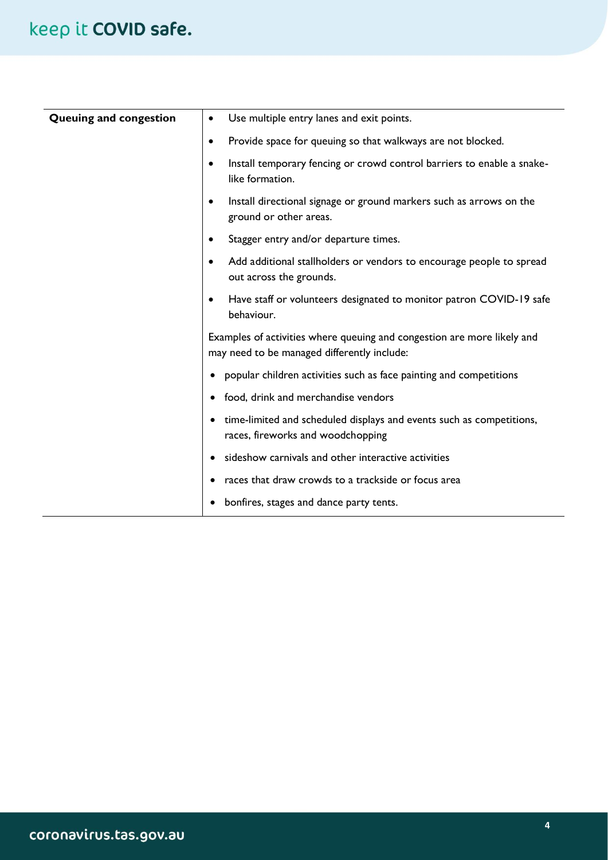| Queuing and congestion | Use multiple entry lanes and exit points.<br>٠                                                                         |
|------------------------|------------------------------------------------------------------------------------------------------------------------|
|                        | Provide space for queuing so that walkways are not blocked.<br>$\bullet$                                               |
|                        | Install temporary fencing or crowd control barriers to enable a snake-<br>$\bullet$<br>like formation.                 |
|                        | Install directional signage or ground markers such as arrows on the<br>$\bullet$<br>ground or other areas.             |
|                        | Stagger entry and/or departure times.<br>$\bullet$                                                                     |
|                        | Add additional stallholders or vendors to encourage people to spread<br>$\bullet$<br>out across the grounds.           |
|                        | Have staff or volunteers designated to monitor patron COVID-19 safe<br>$\bullet$<br>behaviour.                         |
|                        | Examples of activities where queuing and congestion are more likely and<br>may need to be managed differently include: |
|                        | popular children activities such as face painting and competitions                                                     |
|                        | food, drink and merchandise vendors<br>$\bullet$                                                                       |
|                        | time-limited and scheduled displays and events such as competitions,<br>٠<br>races, fireworks and woodchopping         |
|                        | sideshow carnivals and other interactive activities                                                                    |
|                        | races that draw crowds to a trackside or focus area                                                                    |
|                        | bonfires, stages and dance party tents.                                                                                |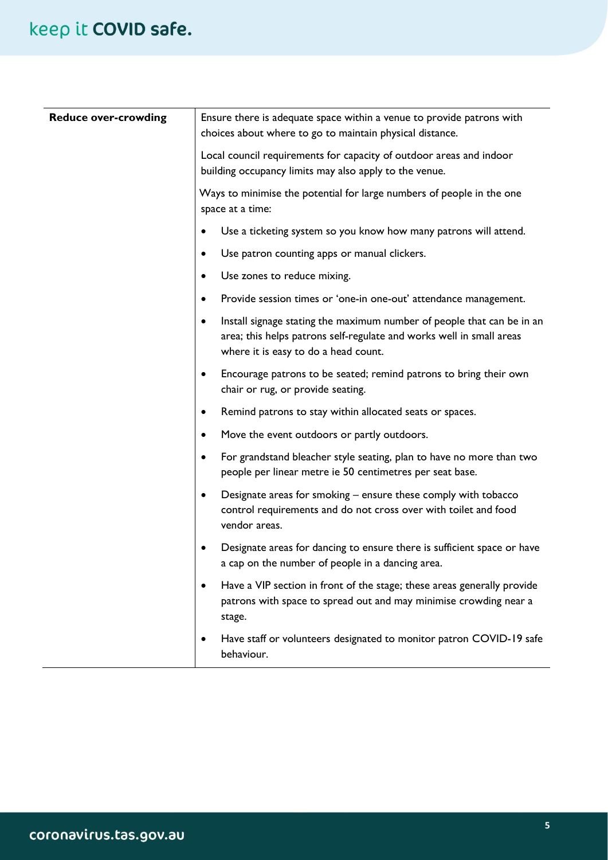| <b>Reduce over-crowding</b> | Ensure there is adequate space within a venue to provide patrons with<br>choices about where to go to maintain physical distance.                                                                   |
|-----------------------------|-----------------------------------------------------------------------------------------------------------------------------------------------------------------------------------------------------|
|                             | Local council requirements for capacity of outdoor areas and indoor<br>building occupancy limits may also apply to the venue.                                                                       |
|                             | Ways to minimise the potential for large numbers of people in the one<br>space at a time:                                                                                                           |
|                             | Use a ticketing system so you know how many patrons will attend.<br>$\bullet$                                                                                                                       |
|                             | Use patron counting apps or manual clickers.<br>$\bullet$                                                                                                                                           |
|                             | Use zones to reduce mixing.<br>$\bullet$                                                                                                                                                            |
|                             | Provide session times or 'one-in one-out' attendance management.<br>$\bullet$                                                                                                                       |
|                             | Install signage stating the maximum number of people that can be in an<br>$\bullet$<br>area; this helps patrons self-regulate and works well in small areas<br>where it is easy to do a head count. |
|                             | Encourage patrons to be seated; remind patrons to bring their own<br>٠<br>chair or rug, or provide seating.                                                                                         |
|                             | Remind patrons to stay within allocated seats or spaces.<br>$\bullet$                                                                                                                               |
|                             | Move the event outdoors or partly outdoors.<br>$\bullet$                                                                                                                                            |
|                             | For grandstand bleacher style seating, plan to have no more than two<br>$\bullet$<br>people per linear metre ie 50 centimetres per seat base.                                                       |
|                             | Designate areas for smoking – ensure these comply with tobacco<br>$\bullet$<br>control requirements and do not cross over with toilet and food<br>vendor areas.                                     |
|                             | Designate areas for dancing to ensure there is sufficient space or have<br>$\bullet$<br>a cap on the number of people in a dancing area.                                                            |
|                             | Have a VIP section in front of the stage; these areas generally provide<br>٠<br>patrons with space to spread out and may minimise crowding near a<br>stage.                                         |
|                             | Have staff or volunteers designated to monitor patron COVID-19 safe<br>behaviour.                                                                                                                   |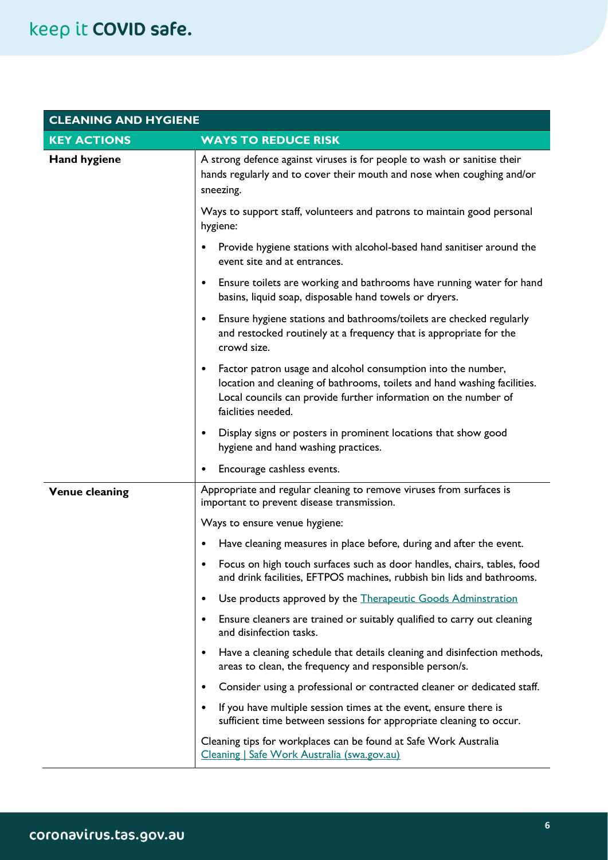| <b>CLEANING AND HYGIENE</b> |                                                                                                                                                                                                                                                |
|-----------------------------|------------------------------------------------------------------------------------------------------------------------------------------------------------------------------------------------------------------------------------------------|
| <b>KEY ACTIONS</b>          | <b>WAYS TO REDUCE RISK</b>                                                                                                                                                                                                                     |
| <b>Hand hygiene</b>         | A strong defence against viruses is for people to wash or sanitise their<br>hands regularly and to cover their mouth and nose when coughing and/or<br>sneezing.                                                                                |
|                             | Ways to support staff, volunteers and patrons to maintain good personal<br>hygiene:                                                                                                                                                            |
|                             | Provide hygiene stations with alcohol-based hand sanitiser around the<br>$\bullet$<br>event site and at entrances.                                                                                                                             |
|                             | Ensure toilets are working and bathrooms have running water for hand<br>٠<br>basins, liquid soap, disposable hand towels or dryers.                                                                                                            |
|                             | Ensure hygiene stations and bathrooms/toilets are checked regularly<br>٠<br>and restocked routinely at a frequency that is appropriate for the<br>crowd size.                                                                                  |
|                             | Factor patron usage and alcohol consumption into the number,<br>$\bullet$<br>location and cleaning of bathrooms, toilets and hand washing facilities.<br>Local councils can provide further information on the number of<br>faiclities needed. |
|                             | Display signs or posters in prominent locations that show good<br>٠<br>hygiene and hand washing practices.                                                                                                                                     |
|                             | Encourage cashless events.                                                                                                                                                                                                                     |
| <b>Venue cleaning</b>       | Appropriate and regular cleaning to remove viruses from surfaces is<br>important to prevent disease transmission.                                                                                                                              |
|                             | Ways to ensure venue hygiene:                                                                                                                                                                                                                  |
|                             | Have cleaning measures in place before, during and after the event.                                                                                                                                                                            |
|                             | Focus on high touch surfaces such as door handles, chairs, tables, food<br>and drink facilities, EFTPOS machines, rubbish bin lids and bathrooms.                                                                                              |
|                             | Use products approved by the Therapeutic Goods Adminstration<br>٠                                                                                                                                                                              |
|                             | Ensure cleaners are trained or suitably qualified to carry out cleaning<br>٠<br>and disinfection tasks.                                                                                                                                        |
|                             | Have a cleaning schedule that details cleaning and disinfection methods,<br>٠<br>areas to clean, the frequency and responsible person/s.                                                                                                       |
|                             | Consider using a professional or contracted cleaner or dedicated staff.<br>٠                                                                                                                                                                   |
|                             | If you have multiple session times at the event, ensure there is<br>$\bullet$<br>sufficient time between sessions for appropriate cleaning to occur.                                                                                           |
|                             | Cleaning tips for workplaces can be found at Safe Work Australia<br>Cleaning   Safe Work Australia (swa.gov.au)                                                                                                                                |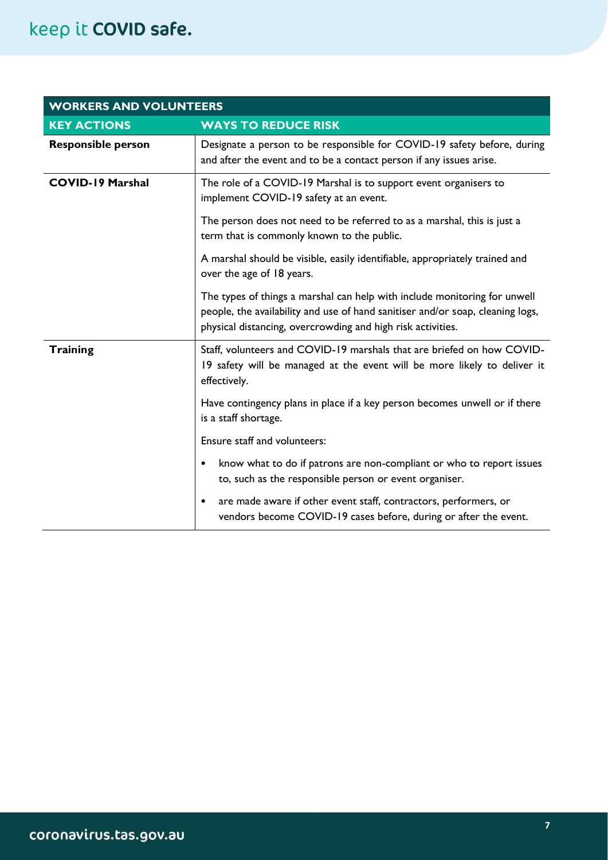| <b>WORKERS AND VOLUNTEERS</b> |                                                                                                                                                                                                                            |
|-------------------------------|----------------------------------------------------------------------------------------------------------------------------------------------------------------------------------------------------------------------------|
| <b>KEY ACTIONS</b>            | <b>WAYS TO REDUCE RISK</b>                                                                                                                                                                                                 |
| <b>Responsible person</b>     | Designate a person to be responsible for COVID-19 safety before, during<br>and after the event and to be a contact person if any issues arise.                                                                             |
| <b>COVID-19 Marshal</b>       | The role of a COVID-19 Marshal is to support event organisers to<br>implement COVID-19 safety at an event.                                                                                                                 |
|                               | The person does not need to be referred to as a marshal, this is just a<br>term that is commonly known to the public.                                                                                                      |
|                               | A marshal should be visible, easily identifiable, appropriately trained and<br>over the age of 18 years.                                                                                                                   |
|                               | The types of things a marshal can help with include monitoring for unwell<br>people, the availability and use of hand sanitiser and/or soap, cleaning logs,<br>physical distancing, overcrowding and high risk activities. |
| <b>Training</b>               | Staff, volunteers and COVID-19 marshals that are briefed on how COVID-<br>19 safety will be managed at the event will be more likely to deliver it<br>effectively.                                                         |
|                               | Have contingency plans in place if a key person becomes unwell or if there<br>is a staff shortage.                                                                                                                         |
|                               | Ensure staff and volunteers:                                                                                                                                                                                               |
|                               | know what to do if patrons are non-compliant or who to report issues<br>$\bullet$<br>to, such as the responsible person or event organiser.                                                                                |
|                               | are made aware if other event staff, contractors, performers, or<br>$\bullet$<br>vendors become COVID-19 cases before, during or after the event.                                                                          |